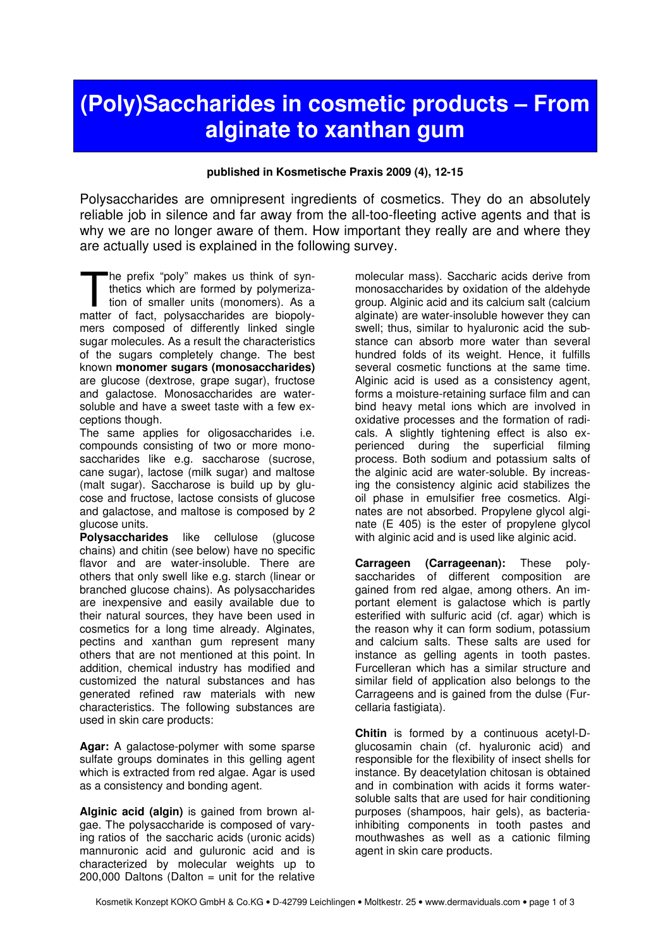## (Poly)Saccharides in cosmetic products – From alginate to xanthan gum

## published in Kosmetische Praxis 2009 (4), 12-15

Polysaccharides are omnipresent ingredients of cosmetics. They do an absolutely reliable job in silence and far away from the all-too-fleeting active agents and that is why we are no longer aware of them. How important they really are and where they are actually used is explained in the following survey.

he prefix "poly" makes us think of synthetics which are formed by polymerization of smaller units (monomers). As a The prefix "poly" makes us think of syn-<br>thetics which are formed by polymeriza-<br>tion of smaller units (monomers). As a<br>matter of fact, polysaccharides are biopolymers composed of differently linked single sugar molecules. As a result the characteristics of the sugars completely change. The best known monomer sugars (monosaccharides) are glucose (dextrose, grape sugar), fructose and galactose. Monosaccharides are watersoluble and have a sweet taste with a few exceptions though.

The same applies for oligosaccharides i.e. compounds consisting of two or more monosaccharides like e.g. saccharose (sucrose, cane sugar), lactose (milk sugar) and maltose (malt sugar). Saccharose is build up by glucose and fructose, lactose consists of glucose and galactose, and maltose is composed by 2 glucose units.

Polysaccharides like cellulose (glucose chains) and chitin (see below) have no specific flavor and are water-insoluble. There are others that only swell like e.g. starch (linear or branched glucose chains). As polysaccharides are inexpensive and easily available due to their natural sources, they have been used in cosmetics for a long time already. Alginates, pectins and xanthan gum represent many others that are not mentioned at this point. In addition, chemical industry has modified and customized the natural substances and has generated refined raw materials with new characteristics. The following substances are used in skin care products:

Agar: A galactose-polymer with some sparse sulfate groups dominates in this gelling agent which is extracted from red algae. Agar is used as a consistency and bonding agent.

Alginic acid (algin) is gained from brown algae. The polysaccharide is composed of varying ratios of the saccharic acids (uronic acids) mannuronic acid and guluronic acid and is characterized by molecular weights up to  $200,000$  Daltons (Dalton = unit for the relative

molecular mass). Saccharic acids derive from monosaccharides by oxidation of the aldehyde group. Alginic acid and its calcium salt (calcium alginate) are water-insoluble however they can swell; thus, similar to hyaluronic acid the substance can absorb more water than several hundred folds of its weight. Hence, it fulfills several cosmetic functions at the same time. Alginic acid is used as a consistency agent, forms a moisture-retaining surface film and can bind heavy metal ions which are involved in oxidative processes and the formation of radicals. A slightly tightening effect is also experienced during the superficial filming process. Both sodium and potassium salts of the alginic acid are water-soluble. By increasing the consistency alginic acid stabilizes the oil phase in emulsifier free cosmetics. Alginates are not absorbed. Propylene glycol alginate (E 405) is the ester of propylene glycol with alginic acid and is used like alginic acid.

Carrageen (Carrageenan): These polysaccharides of different composition are gained from red algae, among others. An important element is galactose which is partly esterified with sulfuric acid (cf. agar) which is the reason why it can form sodium, potassium and calcium salts. These salts are used for instance as gelling agents in tooth pastes. Furcelleran which has a similar structure and similar field of application also belongs to the Carrageens and is gained from the dulse (Furcellaria fastigiata).

Chitin is formed by a continuous acetyl-Dglucosamin chain (cf. hyaluronic acid) and responsible for the flexibility of insect shells for instance. By deacetylation chitosan is obtained and in combination with acids it forms watersoluble salts that are used for hair conditioning purposes (shampoos, hair gels), as bacteriainhibiting components in tooth pastes and mouthwashes as well as a cationic filming agent in skin care products.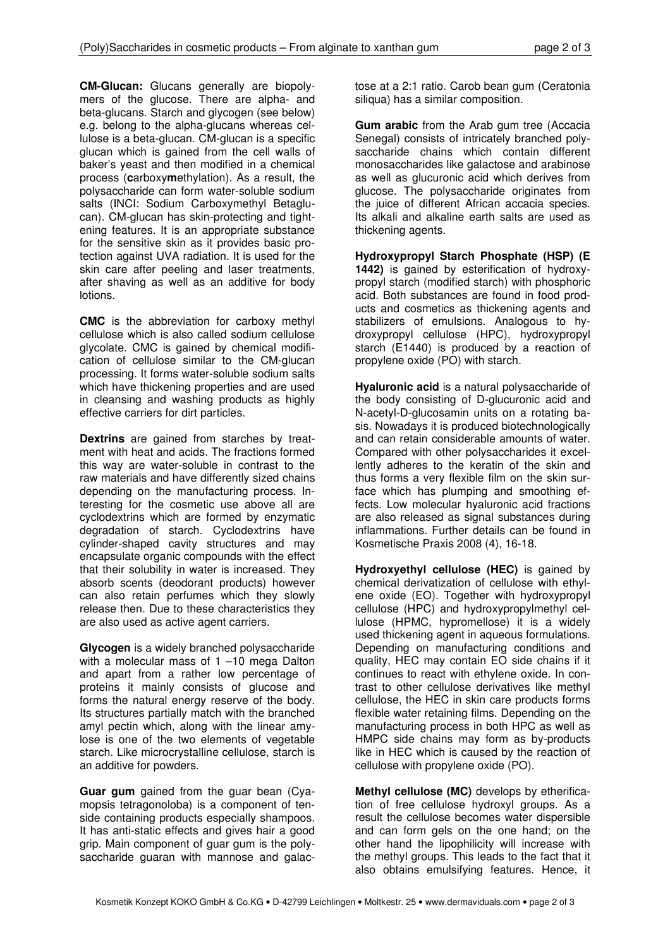CM-Glucan: Glucans generally are biopolymers of the glucose. There are alpha- and beta-glucans. Starch and glycogen (see below) e.g. belong to the alpha-glucans whereas cellulose is a beta-glucan. CM-glucan is a specific glucan which is gained from the cell walls of baker's yeast and then modified in a chemical process (carboxymethylation). As a result, the polysaccharide can form water-soluble sodium salts (INCI: Sodium Carboxymethyl Betaglucan). CM-glucan has skin-protecting and tightening features. It is an appropriate substance for the sensitive skin as it provides basic protection against UVA radiation. It is used for the skin care after peeling and laser treatments, after shaving as well as an additive for body lotions.

CMC is the abbreviation for carboxy methyl cellulose which is also called sodium cellulose glycolate. CMC is gained by chemical modification of cellulose similar to the CM-glucan processing. It forms water-soluble sodium salts which have thickening properties and are used in cleansing and washing products as highly effective carriers for dirt particles.

Dextrins are gained from starches by treatment with heat and acids. The fractions formed this way are water-soluble in contrast to the raw materials and have differently sized chains depending on the manufacturing process. Interesting for the cosmetic use above all are cyclodextrins which are formed by enzymatic degradation of starch. Cyclodextrins have cylinder-shaped cavity structures and may encapsulate organic compounds with the effect that their solubility in water is increased. They absorb scents (deodorant products) however can also retain perfumes which they slowly release then. Due to these characteristics they are also used as active agent carriers.

Glycogen is a widely branched polysaccharide with a molecular mass of 1 –10 mega Dalton and apart from a rather low percentage of proteins it mainly consists of glucose and forms the natural energy reserve of the body. Its structures partially match with the branched amyl pectin which, along with the linear amylose is one of the two elements of vegetable starch. Like microcrystalline cellulose, starch is an additive for powders.

Guar gum gained from the guar bean (Cyamopsis tetragonoloba) is a component of tenside containing products especially shampoos. It has anti-static effects and gives hair a good grip. Main component of guar gum is the polysaccharide guaran with mannose and galactose at a 2:1 ratio. Carob bean gum (Ceratonia siliqua) has a similar composition.

**Gum arabic** from the Arab gum tree (Accacia Senegal) consists of intricately branched polysaccharide chains which contain different monosaccharides like galactose and arabinose as well as glucuronic acid which derives from glucose. The polysaccharide originates from the juice of different African accacia species. Its alkali and alkaline earth salts are used as thickening agents.

Hydroxypropyl Starch Phosphate (HSP) (E 1442) is gained by esterification of hydroxypropyl starch (modified starch) with phosphoric acid. Both substances are found in food products and cosmetics as thickening agents and stabilizers of emulsions. Analogous to hydroxypropyl cellulose (HPC), hydroxypropyl starch (E1440) is produced by a reaction of propylene oxide (PO) with starch.

Hyaluronic acid is a natural polysaccharide of the body consisting of D-glucuronic acid and N-acetyl-D-glucosamin units on a rotating basis. Nowadays it is produced biotechnologically and can retain considerable amounts of water. Compared with other polysaccharides it excellently adheres to the keratin of the skin and thus forms a very flexible film on the skin surface which has plumping and smoothing effects. Low molecular hyaluronic acid fractions are also released as signal substances during inflammations. Further details can be found in Kosmetische Praxis 2008 (4), 16-18.

Hydroxyethyl cellulose (HEC) is gained by chemical derivatization of cellulose with ethylene oxide (EO). Together with hydroxypropyl cellulose (HPC) and hydroxypropylmethyl cellulose (HPMC, hypromellose) it is a widely used thickening agent in aqueous formulations. Depending on manufacturing conditions and quality, HEC may contain EO side chains if it continues to react with ethylene oxide. In contrast to other cellulose derivatives like methyl cellulose, the HEC in skin care products forms flexible water retaining films. Depending on the manufacturing process in both HPC as well as HMPC side chains may form as by-products like in HEC which is caused by the reaction of cellulose with propylene oxide (PO).

Methyl cellulose (MC) develops by etherification of free cellulose hydroxyl groups. As a result the cellulose becomes water dispersible and can form gels on the one hand; on the other hand the lipophilicity will increase with the methyl groups. This leads to the fact that it also obtains emulsifying features. Hence, it